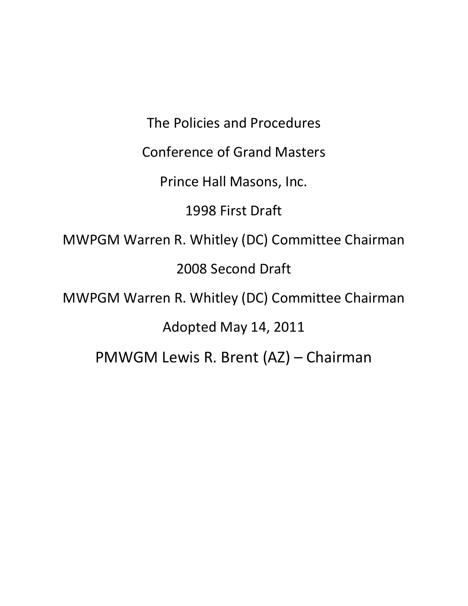The Policies and Procedures Conference of Grand Masters Prince Hall Masons, Inc. 1998 First Draft MWPGM Warren R. Whitley (DC) Committee Chairman 2008 Second Draft MWPGM Warren R. Whitley (DC) Committee Chairman Adopted May 14, 2011 PMWGM Lewis R. Brent (AZ) – Chairman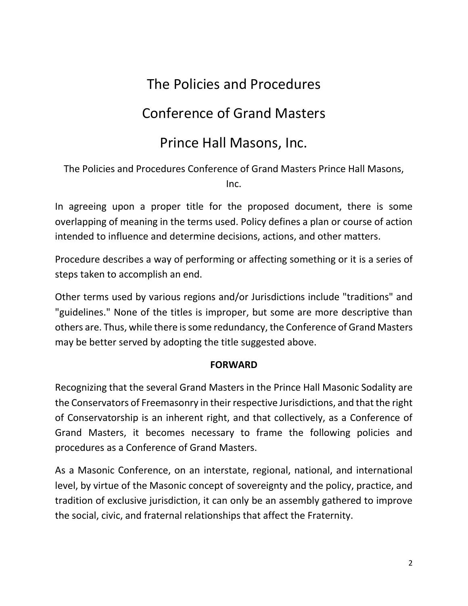# The Policies and Procedures

# Conference of Grand Masters

# Prince Hall Masons, Inc.

The Policies and Procedures Conference of Grand Masters Prince Hall Masons, Inc.

In agreeing upon a proper title for the proposed document, there is some overlapping of meaning in the terms used. Policy defines a plan or course of action intended to influence and determine decisions, actions, and other matters.

Procedure describes a way of performing or affecting something or it is a series of steps taken to accomplish an end.

Other terms used by various regions and/or Jurisdictions include "traditions" and "guidelines." None of the titles is improper, but some are more descriptive than others are. Thus, while there is some redundancy, the Conference of Grand Masters may be better served by adopting the title suggested above.

#### **FORWARD**

Recognizing that the several Grand Masters in the Prince Hall Masonic Sodality are the Conservators of Freemasonry in their respective Jurisdictions, and that the right of Conservatorship is an inherent right, and that collectively, as a Conference of Grand Masters, it becomes necessary to frame the following policies and procedures as a Conference of Grand Masters.

As a Masonic Conference, on an interstate, regional, national, and international level, by virtue of the Masonic concept of sovereignty and the policy, practice, and tradition of exclusive jurisdiction, it can only be an assembly gathered to improve the social, civic, and fraternal relationships that affect the Fraternity.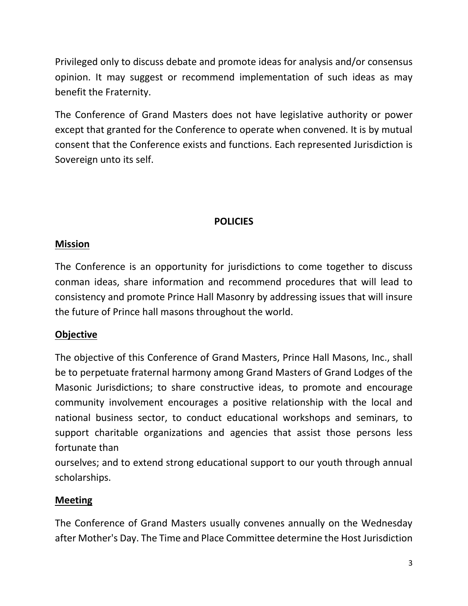Privileged only to discuss debate and promote ideas for analysis and/or consensus opinion. It may suggest or recommend implementation of such ideas as may benefit the Fraternity.

The Conference of Grand Masters does not have legislative authority or power except that granted for the Conference to operate when convened. It is by mutual consent that the Conference exists and functions. Each represented Jurisdiction is Sovereign unto its self.

## **POLICIES**

#### **Mission**

The Conference is an opportunity for jurisdictions to come together to discuss conman ideas, share information and recommend procedures that will lead to consistency and promote Prince Hall Masonry by addressing issues that will insure the future of Prince hall masons throughout the world.

### **Objective**

The objective of this Conference of Grand Masters, Prince Hall Masons, Inc., shall be to perpetuate fraternal harmony among Grand Masters of Grand Lodges of the Masonic Jurisdictions; to share constructive ideas, to promote and encourage community involvement encourages a positive relationship with the local and national business sector, to conduct educational workshops and seminars, to support charitable organizations and agencies that assist those persons less fortunate than

ourselves; and to extend strong educational support to our youth through annual scholarships.

### **Meeting**

The Conference of Grand Masters usually convenes annually on the Wednesday after Mother's Day. The Time and Place Committee determine the Host Jurisdiction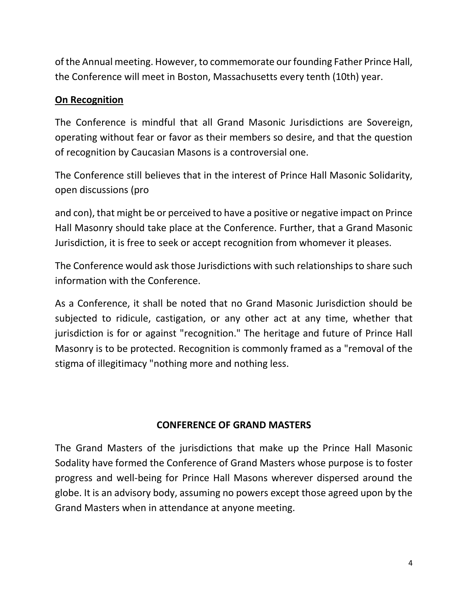of the Annual meeting. However, to commemorate our founding Father Prince Hall, the Conference will meet in Boston, Massachusetts every tenth (10th) year.

## **On Recognition**

The Conference is mindful that all Grand Masonic Jurisdictions are Sovereign, operating without fear or favor as their members so desire, and that the question of recognition by Caucasian Masons is a controversial one.

The Conference still believes that in the interest of Prince Hall Masonic Solidarity, open discussions (pro

and con), that might be or perceived to have a positive or negative impact on Prince Hall Masonry should take place at the Conference. Further, that a Grand Masonic Jurisdiction, it is free to seek or accept recognition from whomever it pleases.

The Conference would ask those Jurisdictions with such relationships to share such information with the Conference.

As a Conference, it shall be noted that no Grand Masonic Jurisdiction should be subjected to ridicule, castigation, or any other act at any time, whether that jurisdiction is for or against "recognition." The heritage and future of Prince Hall Masonry is to be protected. Recognition is commonly framed as a "removal of the stigma of illegitimacy "nothing more and nothing less.

### **CONFERENCE OF GRAND MASTERS**

The Grand Masters of the jurisdictions that make up the Prince Hall Masonic Sodality have formed the Conference of Grand Masters whose purpose is to foster progress and well-being for Prince Hall Masons wherever dispersed around the globe. It is an advisory body, assuming no powers except those agreed upon by the Grand Masters when in attendance at anyone meeting.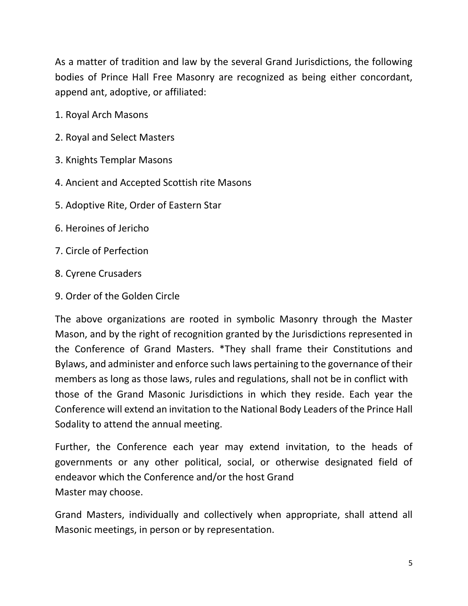As a matter of tradition and law by the several Grand Jurisdictions, the following bodies of Prince Hall Free Masonry are recognized as being either concordant, append ant, adoptive, or affiliated:

- 1. Royal Arch Masons
- 2. Royal and Select Masters
- 3. Knights Templar Masons
- 4. Ancient and Accepted Scottish rite Masons
- 5. Adoptive Rite, Order of Eastern Star
- 6. Heroines of Jericho
- 7. Circle of Perfection
- 8. Cyrene Crusaders
- 9. Order of the Golden Circle

The above organizations are rooted in symbolic Masonry through the Master Mason, and by the right of recognition granted by the Jurisdictions represented in the Conference of Grand Masters. \*They shall frame their Constitutions and Bylaws, and administer and enforce such laws pertaining to the governance of their members as long as those laws, rules and regulations, shall not be in conflict with those of the Grand Masonic Jurisdictions in which they reside. Each year the Conference will extend an invitation to the National Body Leaders of the Prince Hall Sodality to attend the annual meeting.

Further, the Conference each year may extend invitation, to the heads of governments or any other political, social, or otherwise designated field of endeavor which the Conference and/or the host Grand Master may choose.

Grand Masters, individually and collectively when appropriate, shall attend all Masonic meetings, in person or by representation.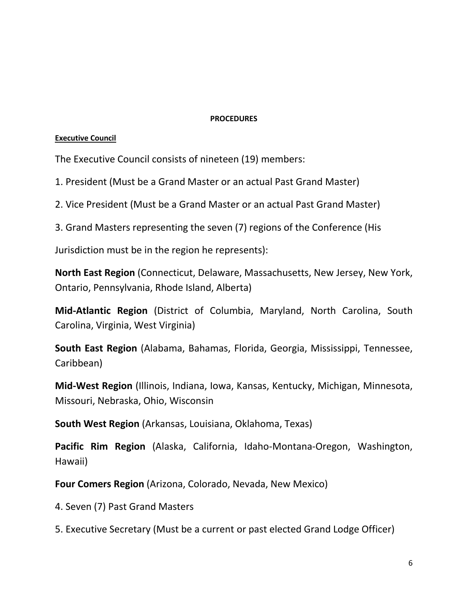#### **PROCEDURES**

#### **Executive Council**

The Executive Council consists of nineteen (19) members:

1. President (Must be a Grand Master or an actual Past Grand Master)

2. Vice President (Must be a Grand Master or an actual Past Grand Master)

3. Grand Masters representing the seven (7) regions of the Conference (His

Jurisdiction must be in the region he represents):

**North East Region** (Connecticut, Delaware, Massachusetts, New Jersey, New York, Ontario, Pennsylvania, Rhode Island, Alberta)

**Mid-Atlantic Region** (District of Columbia, Maryland, North Carolina, South Carolina, Virginia, West Virginia)

**South East Region** (Alabama, Bahamas, Florida, Georgia, Mississippi, Tennessee, Caribbean)

**Mid-West Region** (Illinois, Indiana, Iowa, Kansas, Kentucky, Michigan, Minnesota, Missouri, Nebraska, Ohio, Wisconsin

**South West Region** (Arkansas, Louisiana, Oklahoma, Texas)

**Pacific Rim Region** (Alaska, California, Idaho-Montana-Oregon, Washington, Hawaii)

**Four Comers Region** (Arizona, Colorado, Nevada, New Mexico)

4. Seven (7) Past Grand Masters

5. Executive Secretary (Must be a current or past elected Grand Lodge Officer)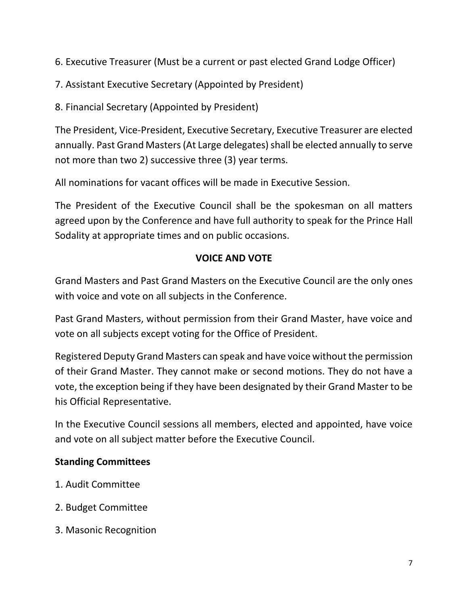6. Executive Treasurer (Must be a current or past elected Grand Lodge Officer)

7. Assistant Executive Secretary (Appointed by President)

8. Financial Secretary (Appointed by President)

The President, Vice-President, Executive Secretary, Executive Treasurer are elected annually. Past Grand Masters (At Large delegates) shall be elected annually to serve not more than two 2) successive three (3) year terms.

All nominations for vacant offices will be made in Executive Session.

The President of the Executive Council shall be the spokesman on all matters agreed upon by the Conference and have full authority to speak for the Prince Hall Sodality at appropriate times and on public occasions.

#### **VOICE AND VOTE**

Grand Masters and Past Grand Masters on the Executive Council are the only ones with voice and vote on all subjects in the Conference.

Past Grand Masters, without permission from their Grand Master, have voice and vote on all subjects except voting for the Office of President.

Registered Deputy Grand Masters can speak and have voice without the permission of their Grand Master. They cannot make or second motions. They do not have a vote, the exception being if they have been designated by their Grand Master to be his Official Representative.

In the Executive Council sessions all members, elected and appointed, have voice and vote on all subject matter before the Executive Council.

#### **Standing Committees**

- 1. Audit Committee
- 2. Budget Committee
- 3. Masonic Recognition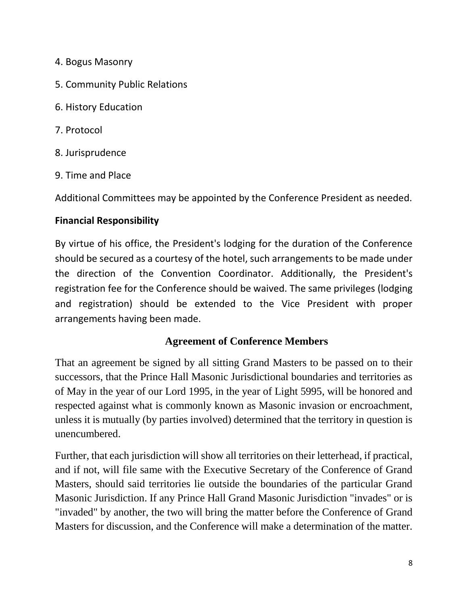- 4. Bogus Masonry
- 5. Community Public Relations
- 6. History Education
- 7. Protocol
- 8. Jurisprudence
- 9. Time and Place

Additional Committees may be appointed by the Conference President as needed.

## **Financial Responsibility**

By virtue of his office, the President's lodging for the duration of the Conference should be secured as a courtesy of the hotel, such arrangements to be made under the direction of the Convention Coordinator. Additionally, the President's registration fee for the Conference should be waived. The same privileges (lodging and registration) should be extended to the Vice President with proper arrangements having been made.

### **Agreement of Conference Members**

That an agreement be signed by all sitting Grand Masters to be passed on to their successors, that the Prince Hall Masonic Jurisdictional boundaries and territories as of May in the year of our Lord 1995, in the year of Light 5995, will be honored and respected against what is commonly known as Masonic invasion or encroachment, unless it is mutually (by parties involved) determined that the territory in question is unencumbered.

Further, that each jurisdiction will show all territories on their letterhead, if practical, and if not, will file same with the Executive Secretary of the Conference of Grand Masters, should said territories lie outside the boundaries of the particular Grand Masonic Jurisdiction. If any Prince Hall Grand Masonic Jurisdiction "invades" or is "invaded" by another, the two will bring the matter before the Conference of Grand Masters for discussion, and the Conference will make a determination of the matter.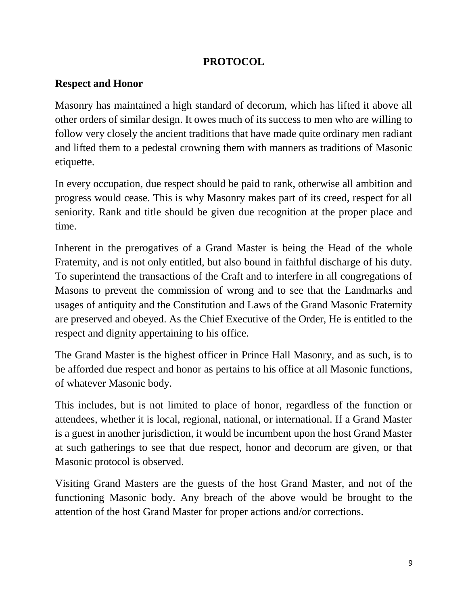#### **PROTOCOL**

#### **Respect and Honor**

Masonry has maintained a high standard of decorum, which has lifted it above all other orders of similar design. It owes much of its success to men who are willing to follow very closely the ancient traditions that have made quite ordinary men radiant and lifted them to a pedestal crowning them with manners as traditions of Masonic etiquette.

In every occupation, due respect should be paid to rank, otherwise all ambition and progress would cease. This is why Masonry makes part of its creed, respect for all seniority. Rank and title should be given due recognition at the proper place and time.

Inherent in the prerogatives of a Grand Master is being the Head of the whole Fraternity, and is not only entitled, but also bound in faithful discharge of his duty. To superintend the transactions of the Craft and to interfere in all congregations of Masons to prevent the commission of wrong and to see that the Landmarks and usages of antiquity and the Constitution and Laws of the Grand Masonic Fraternity are preserved and obeyed. As the Chief Executive of the Order, He is entitled to the respect and dignity appertaining to his office.

The Grand Master is the highest officer in Prince Hall Masonry, and as such, is to be afforded due respect and honor as pertains to his office at all Masonic functions, of whatever Masonic body.

This includes, but is not limited to place of honor, regardless of the function or attendees, whether it is local, regional, national, or international. If a Grand Master is a guest in another jurisdiction, it would be incumbent upon the host Grand Master at such gatherings to see that due respect, honor and decorum are given, or that Masonic protocol is observed.

Visiting Grand Masters are the guests of the host Grand Master, and not of the functioning Masonic body. Any breach of the above would be brought to the attention of the host Grand Master for proper actions and/or corrections.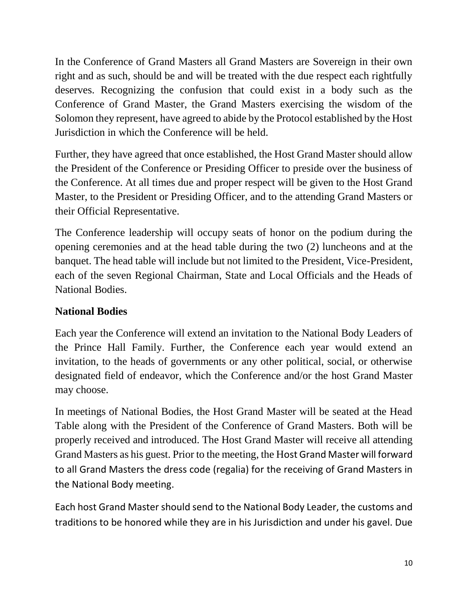In the Conference of Grand Masters all Grand Masters are Sovereign in their own right and as such, should be and will be treated with the due respect each rightfully deserves. Recognizing the confusion that could exist in a body such as the Conference of Grand Master, the Grand Masters exercising the wisdom of the Solomon they represent, have agreed to abide by the Protocol established by the Host Jurisdiction in which the Conference will be held.

Further, they have agreed that once established, the Host Grand Master should allow the President of the Conference or Presiding Officer to preside over the business of the Conference. At all times due and proper respect will be given to the Host Grand Master, to the President or Presiding Officer, and to the attending Grand Masters or their Official Representative.

The Conference leadership will occupy seats of honor on the podium during the opening ceremonies and at the head table during the two (2) luncheons and at the banquet. The head table will include but not limited to the President, Vice-President, each of the seven Regional Chairman, State and Local Officials and the Heads of National Bodies.

## **National Bodies**

Each year the Conference will extend an invitation to the National Body Leaders of the Prince Hall Family. Further, the Conference each year would extend an invitation, to the heads of governments or any other political, social, or otherwise designated field of endeavor, which the Conference and/or the host Grand Master may choose.

In meetings of National Bodies, the Host Grand Master will be seated at the Head Table along with the President of the Conference of Grand Masters. Both will be properly received and introduced. The Host Grand Master will receive all attending Grand Masters as his guest. Prior to the meeting, the Host Grand Master will forward to all Grand Masters the dress code (regalia) for the receiving of Grand Masters in the National Body meeting.

Each host Grand Master should send to the National Body Leader, the customs and traditions to be honored while they are in his Jurisdiction and under his gavel. Due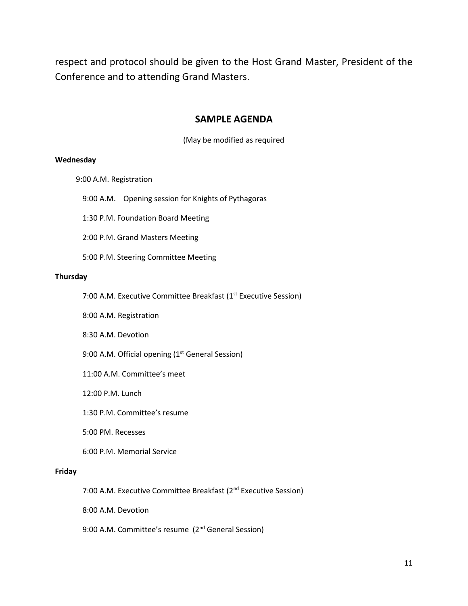respect and protocol should be given to the Host Grand Master, President of the Conference and to attending Grand Masters.

#### **SAMPLE AGENDA**

(May be modified as required

#### **Wednesday**

9:00 A.M. Registration

9:00 A.M. Opening session for Knights of Pythagoras

1:30 P.M. Foundation Board Meeting

2:00 P.M. Grand Masters Meeting

5:00 P.M. Steering Committee Meeting

#### **Thursday**

7:00 A.M. Executive Committee Breakfast (1<sup>st</sup> Executive Session)

8:00 A.M. Registration

8:30 A.M. Devotion

9:00 A.M. Official opening  $(1<sup>st</sup>$  General Session)

11:00 A.M. Committee's meet

12:00 P.M. Lunch

1:30 P.M. Committee's resume

5:00 PM. Recesses

6:00 P.M. Memorial Service

#### **Friday**

7:00 A.M. Executive Committee Breakfast (2<sup>nd</sup> Executive Session)

8:00 A.M. Devotion

9:00 A.M. Committee's resume (2<sup>nd</sup> General Session)